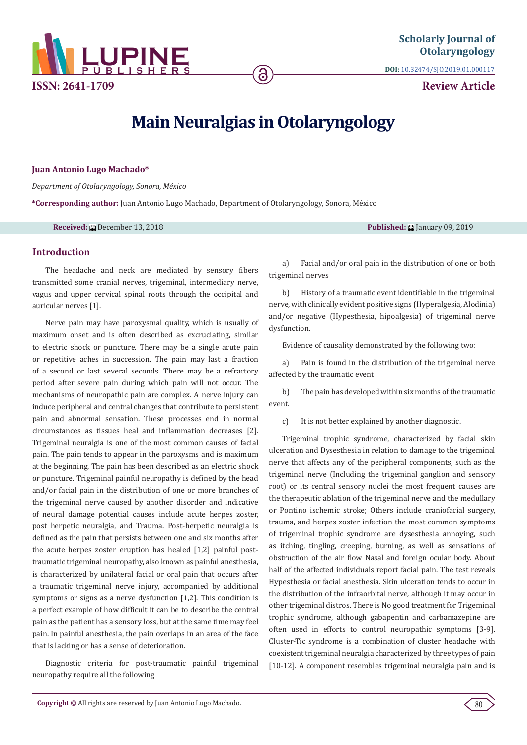

**DOI:** [10.32474/SJO.2019.01.000117](http://dx.doi.org/10.32474/SJO.2019.01.000117)

**Review Article**

# **Main Neuralgias in Otolaryngology**

ခ

### **Juan Antonio Lugo Machado\***

*Department of Otolaryngology, Sonora, México*

**\*Corresponding author:** Juan Antonio Lugo Machado, Department of Otolaryngology, Sonora, México

**Received: 曲 December 13, 2018 Published: 曲 January 09, 2019** 

## **Introduction**

The headache and neck are mediated by sensory fibers transmitted some cranial nerves, trigeminal, intermediary nerve, vagus and upper cervical spinal roots through the occipital and auricular nerves [1].

Nerve pain may have paroxysmal quality, which is usually of maximum onset and is often described as excruciating, similar to electric shock or puncture. There may be a single acute pain or repetitive aches in succession. The pain may last a fraction of a second or last several seconds. There may be a refractory period after severe pain during which pain will not occur. The mechanisms of neuropathic pain are complex. A nerve injury can induce peripheral and central changes that contribute to persistent pain and abnormal sensation. These processes end in normal circumstances as tissues heal and inflammation decreases [2]. Trigeminal neuralgia is one of the most common causes of facial pain. The pain tends to appear in the paroxysms and is maximum at the beginning. The pain has been described as an electric shock or puncture. Trigeminal painful neuropathy is defined by the head and/or facial pain in the distribution of one or more branches of the trigeminal nerve caused by another disorder and indicative of neural damage potential causes include acute herpes zoster, post herpetic neuralgia, and Trauma. Post-herpetic neuralgia is defined as the pain that persists between one and six months after the acute herpes zoster eruption has healed [1,2] painful posttraumatic trigeminal neuropathy, also known as painful anesthesia, is characterized by unilateral facial or oral pain that occurs after a traumatic trigeminal nerve injury, accompanied by additional symptoms or signs as a nerve dysfunction [1,2]. This condition is a perfect example of how difficult it can be to describe the central pain as the patient has a sensory loss, but at the same time may feel pain. In painful anesthesia, the pain overlaps in an area of the face that is lacking or has a sense of deterioration.

Diagnostic criteria for post-traumatic painful trigeminal neuropathy require all the following

a) Facial and/or oral pain in the distribution of one or both trigeminal nerves

b) History of a traumatic event identifiable in the trigeminal nerve, with clinically evident positive signs (Hyperalgesia, Alodinia) and/or negative (Hypesthesia, hipoalgesia) of trigeminal nerve dysfunction.

Evidence of causality demonstrated by the following two:

a) Pain is found in the distribution of the trigeminal nerve affected by the traumatic event

b) The pain has developed within six months of the traumatic event.

c) It is not better explained by another diagnostic.

Trigeminal trophic syndrome, characterized by facial skin ulceration and Dysesthesia in relation to damage to the trigeminal nerve that affects any of the peripheral components, such as the trigeminal nerve (Including the trigeminal ganglion and sensory root) or its central sensory nuclei the most frequent causes are the therapeutic ablation of the trigeminal nerve and the medullary or Pontino ischemic stroke; Others include craniofacial surgery, trauma, and herpes zoster infection the most common symptoms of trigeminal trophic syndrome are dysesthesia annoying, such as itching, tingling, creeping, burning, as well as sensations of obstruction of the air flow Nasal and foreign ocular body. About half of the affected individuals report facial pain. The test reveals Hypesthesia or facial anesthesia. Skin ulceration tends to occur in the distribution of the infraorbital nerve, although it may occur in other trigeminal distros. There is No good treatment for Trigeminal trophic syndrome, although gabapentin and carbamazepine are often used in efforts to control neuropathic symptoms [3-9]. Cluster-Tic syndrome is a combination of cluster headache with coexistent trigeminal neuralgia characterized by three types of pain [10-12]. A component resembles trigeminal neuralgia pain and is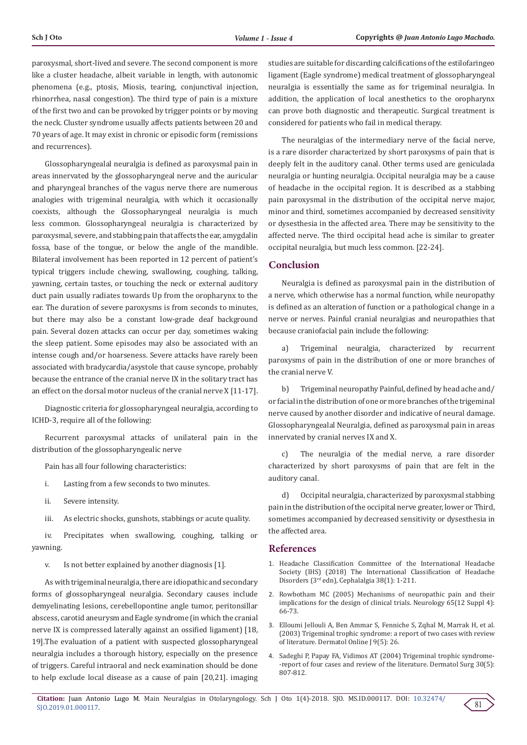paroxysmal, short-lived and severe. The second component is more like a cluster headache, albeit variable in length, with autonomic phenomena (e.g., ptosis, Miosis, tearing, conjunctival injection, rhinorrhea, nasal congestion). The third type of pain is a mixture of the first two and can be provoked by trigger points or by moving the neck. Cluster syndrome usually affects patients between 20 and 70 years of age. It may exist in chronic or episodic form (remissions and recurrences).

Glossopharyngealal neuralgia is defined as paroxysmal pain in areas innervated by the glossopharyngeal nerve and the auricular and pharyngeal branches of the vagus nerve there are numerous analogies with trigeminal neuralgia, with which it occasionally coexists, although the Glossopharyngeal neuralgia is much less common. Glossopharyngeal neuralgia is characterized by paroxysmal, severe, and stabbing pain that affects the ear, amygdalin fossa, base of the tongue, or below the angle of the mandible. Bilateral involvement has been reported in 12 percent of patient's typical triggers include chewing, swallowing, coughing, talking, yawning, certain tastes, or touching the neck or external auditory duct pain usually radiates towards Up from the oropharynx to the ear. The duration of severe paroxysms is from seconds to minutes, but there may also be a constant low-grade deaf background pain. Several dozen attacks can occur per day, sometimes waking the sleep patient. Some episodes may also be associated with an intense cough and/or hoarseness. Severe attacks have rarely been associated with bradycardia/asystole that cause syncope, probably because the entrance of the cranial nerve IX in the solitary tract has an effect on the dorsal motor nucleus of the cranial nerve X [11-17].

Diagnostic criteria for glossopharyngeal neuralgia, according to ICHD-3, require all of the following:

Recurrent paroxysmal attacks of unilateral pain in the distribution of the glossopharyngealic nerve

Pain has all four following characteristics:

- i. Lasting from a few seconds to two minutes.
- ii. Severe intensity.
- iii. As electric shocks, gunshots, stabbings or acute quality.

iv. Precipitates when swallowing, coughing, talking or yawning.

v. Is not better explained by another diagnosis [1].

As with trigeminal neuralgia, there are idiopathic and secondary forms of glossopharyngeal neuralgia. Secondary causes include demyelinating lesions, cerebellopontine angle tumor, peritonsillar abscess, carotid aneurysm and Eagle syndrome (in which the cranial nerve IX is compressed laterally against an ossified ligament) [18, 19].The evaluation of a patient with suspected glossopharyngeal neuralgia includes a thorough history, especially on the presence of triggers. Careful intraoral and neck examination should be done to help exclude local disease as a cause of pain [20,21]. imaging studies are suitable for discarding calcifications of the estilofaringeo ligament (Eagle syndrome) medical treatment of glossopharyngeal neuralgia is essentially the same as for trigeminal neuralgia. In addition, the application of local anesthetics to the oropharynx can prove both diagnostic and therapeutic. Surgical treatment is considered for patients who fail in medical therapy.

The neuralgias of the intermediary nerve of the facial nerve, is a rare disorder characterized by short paroxysms of pain that is deeply felt in the auditory canal. Other terms used are geniculada neuralgia or hunting neuralgia. Occipital neuralgia may be a cause of headache in the occipital region. It is described as a stabbing pain paroxysmal in the distribution of the occipital nerve major, minor and third, sometimes accompanied by decreased sensitivity or dysesthesia in the affected area. There may be sensitivity to the affected nerve. The third occipital head ache is similar to greater occipital neuralgia, but much less common. [22-24].

## **Conclusion**

Neuralgia is defined as paroxysmal pain in the distribution of a nerve, which otherwise has a normal function, while neuropathy is defined as an alteration of function or a pathological change in a nerve or nerves. Painful cranial neuralgias and neuropathies that because craniofacial pain include the following:

a) Trigeminal neuralgia, characterized by recurrent paroxysms of pain in the distribution of one or more branches of the cranial nerve V.

b) Trigeminal neuropathy Painful, defined by head ache and/ or facial in the distribution of one or more branches of the trigeminal nerve caused by another disorder and indicative of neural damage. Glossopharyngealal Neuralgia, defined as paroxysmal pain in areas innervated by cranial nerves IX and X.

c) The neuralgia of the medial nerve, a rare disorder characterized by short paroxysms of pain that are felt in the auditory canal.

d) Occipital neuralgia, characterized by paroxysmal stabbing pain in the distribution of the occipital nerve greater, lower or Third, sometimes accompanied by decreased sensitivity or dysesthesia in the affected area.

#### **References**

- 1. [Headache Classification Committee of the International Headache](https://www.ichd-3.org/wp-content/uploads/2018/01/The-International-Classification-of-Headache-Disorders-3rd-Edition-2018.pdf) [Society \(IHS\) \(2018\) The International Classification of Headache](https://www.ichd-3.org/wp-content/uploads/2018/01/The-International-Classification-of-Headache-Disorders-3rd-Edition-2018.pdf) [Disorders \(3rd edn\), Cephalalgia 38\(1\): 1-211.](https://www.ichd-3.org/wp-content/uploads/2018/01/The-International-Classification-of-Headache-Disorders-3rd-Edition-2018.pdf)
- 2. [Rowbotham MC \(2005\) Mechanisms of neuropathic pain and their](https://www.ncbi.nlm.nih.gov/pubmed/16385106) [implications for the design of clinical trials. Neurology 65\(12 Suppl 4\):](https://www.ncbi.nlm.nih.gov/pubmed/16385106) [66-73.](https://www.ncbi.nlm.nih.gov/pubmed/16385106)
- 3. [Elloumi Jellouli A, Ben Ammar S, Fenniche S, Zqhal M, Marrak H, et al.](https://www.ncbi.nlm.nih.gov/pubmed/14996399) [\(2003\) Trigeminal trophic syndrome: a report of two cases with review](https://www.ncbi.nlm.nih.gov/pubmed/14996399) [of literature. Dermatol Online J 9\(5\): 26.](https://www.ncbi.nlm.nih.gov/pubmed/14996399)
- 4. [Sadeghi P, Papay FA, Vidimos AT \(2004\) Trigeminal trophic syndrome-](https://www.ncbi.nlm.nih.gov/pubmed/15099331) [-report of four cases and review of the literature. Dermatol Surg 30\(5\):](https://www.ncbi.nlm.nih.gov/pubmed/15099331) [807-812.](https://www.ncbi.nlm.nih.gov/pubmed/15099331)